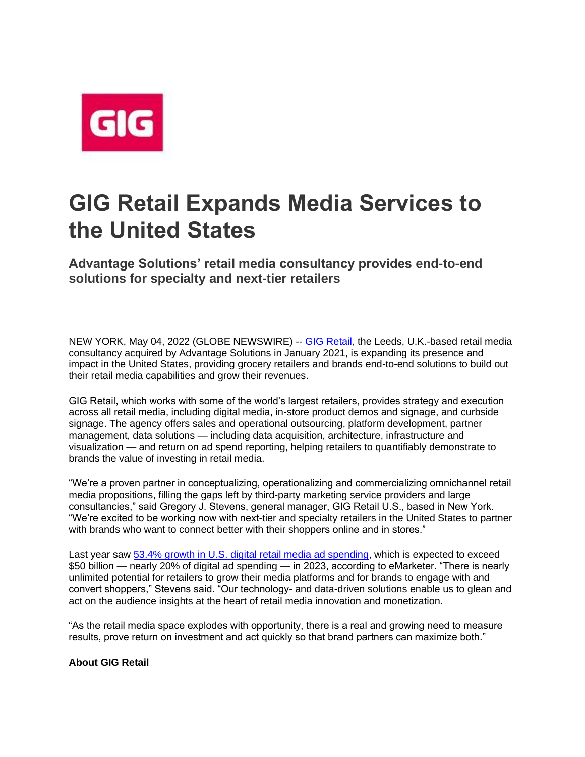

## **GIG Retail Expands Media Services to the United States**

**Advantage Solutions' retail media consultancy provides end-to-end solutions for specialty and next-tier retailers**

NEW YORK, May 04, 2022 (GLOBE NEWSWIRE) -- [GIG Retail,](https://www.globenewswire.com/Tracker?data=1aOZdA5crINVoKmotfH_PFq_G_qiQN_YHYirh0QCSGKPwkPq7M5HEADne4O6duxGyY-PEJbhUH4SghbuoSr3uw==) the Leeds, U.K.-based retail media consultancy acquired by Advantage Solutions in January 2021, is expanding its presence and impact in the United States, providing grocery retailers and brands end-to-end solutions to build out their retail media capabilities and grow their revenues.

GIG Retail, which works with some of the world's largest retailers, provides strategy and execution across all retail media, including digital media, in-store product demos and signage, and curbside signage. The agency offers sales and operational outsourcing, platform development, partner management, data solutions — including data acquisition, architecture, infrastructure and visualization — and return on ad spend reporting, helping retailers to quantifiably demonstrate to brands the value of investing in retail media.

"We're a proven partner in conceptualizing, operationalizing and commercializing omnichannel retail media propositions, filling the gaps left by third-party marketing service providers and large consultancies," said Gregory J. Stevens, general manager, GIG Retail U.S., based in New York. "We're excited to be working now with next-tier and specialty retailers in the United States to partner with brands who want to connect better with their shoppers online and in stores."

Last year saw [53.4% growth in U.S. digital retail media ad spending,](https://www.globenewswire.com/Tracker?data=4yV3xnklEGBq2U4EoWkvyeOnxXWTuhQTr7-t4yqhQ3lFKL5KIvKPjTNAp4VJ4BdrG_XJQFQDqjq3AUPvC4vNYU7YkmtO-E1ORVsFj7GCXFdIViCHe2YIlWqyGIPaydbD-hG7Fe77BdaVsTnCVgVa9W7jFNxaThxUhKDwi87OW5Y3I0F2kVrryXAoGW7JA401hGrlzHHjjwPohh-9-9akYw==) which is expected to exceed \$50 billion — nearly 20% of digital ad spending — in 2023, according to eMarketer. "There is nearly unlimited potential for retailers to grow their media platforms and for brands to engage with and convert shoppers," Stevens said. "Our technology- and data-driven solutions enable us to glean and act on the audience insights at the heart of retail media innovation and monetization.

"As the retail media space explodes with opportunity, there is a real and growing need to measure results, prove return on investment and act quickly so that brand partners can maximize both."

## **About GIG Retail**